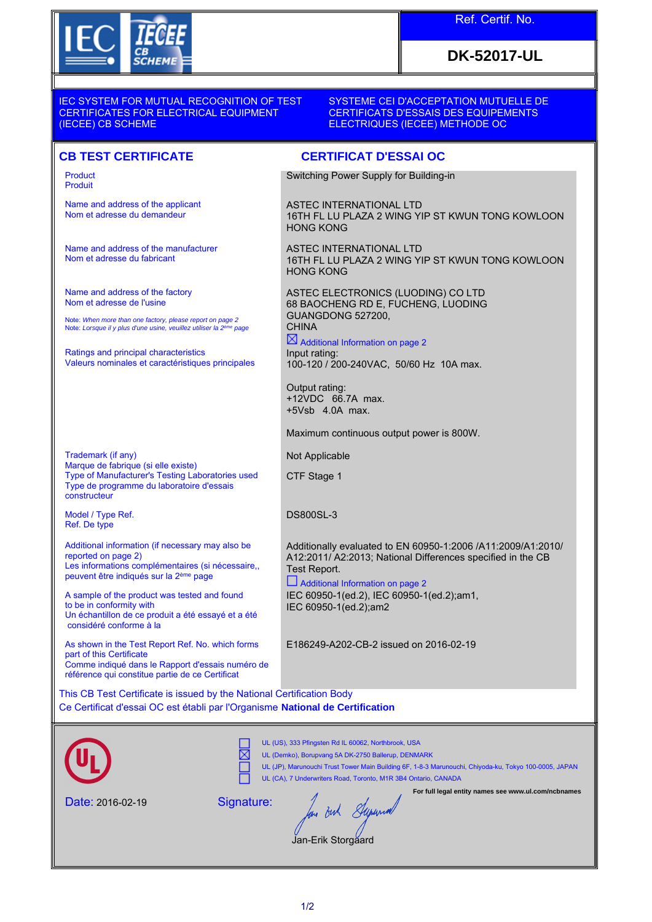

## Ref. Certif. No.

# **DK-52017-UL**

IEC SYSTEM FOR MUTUAL RECOGNITION OF TEST CERTIFICATES FOR ELECTRICAL EQUIPMENT (IECEE) CB SCHEME

### SYSTEME CEI D'ACCEPTATION MUTUELLE DE CERTIFICATS D'ESSAIS DES EQUIPEMENTS ELECTRIQUES (IECEE) METHODE OC

Product Produit

Name and address of the applicant Nom et adresse du demandeur

Name and address of the manufacturer Nom et adresse du fabricant

Name and address of the factory Nom et adresse de l'usine

Note: *When more than one factory, please report on page 2*<br>Note: *Lorsque il y plus d'une usine, veuillez utiliser la 2<sup>ème</sup> page* 

Ratings and principal characteristics Valeurs nominales et caractéristiques principales

Trademark (if any) Marque de fabrique (si elle existe) Type of Manufacturer's Testing Laboratories used Type de programme du laboratoire d'essais constructeur

Model / Type Ref. Ref. De type

Additional information (if necessary may also be reported on page 2) Les informations complémentaires (si nécessaire, peuvent être indiqués sur la 2ème page

A sample of the product was tested and found to be in conformity with Un échantillon de ce produit a été essayé et a été considéré conforme à la

As shown in the Test Report Ref. No. which forms part of this Certificate Comme indiqué dans le Rapport d'essais numéro de référence qui constitue partie de ce Certificat

**CB TEST CERTIFICATE CERTIFICAT D'ESSAI OC**

Switching Power Supply for Building-in

ASTEC INTERNATIONAL LTD 16TH FL LU PLAZA 2 WING YIP ST KWUN TONG KOWLOON HONG KONG

ASTEC INTERNATIONAL LTD 16TH FL LU PLAZA 2 WING YIP ST KWUN TONG KOWLOON HONG KONG

ASTEC ELECTRONICS (LUODING) CO LTD 68 BAOCHENG RD E, FUCHENG, LUODING GUANGDONG 527200, **CHINA** 

 $\boxtimes$  Additional Information on page 2 Input rating: 100-120 / 200-240VAC, 50/60 Hz 10A max.

Output rating: +12VDC 66.7A max. +5Vsb 4.0A max.

Maximum continuous output power is 800W.

Not Applicable

CTF Stage 1

DS800SL-3

Additionally evaluated to EN 60950-1:2006 /A11:2009/A1:2010/ A12:2011/ A2:2013; National Differences specified in the CB Test Report.

 Additional Information on page 2 IEC 60950-1(ed.2), IEC 60950-1(ed.2);am1, IEC 60950-1(ed.2);am2

E186249-A202-CB-2 issued on 2016-02-19

This CB Test Certificate is issued by the National Certification Body Ce Certificat d'essai OC est établi par l'Organisme **National de Certification**



UL (US), 333 Pfingsten Rd IL 60062, Northbrook, USA

UL (Demko), Borupvang 5A DK-2750 Ballerup, DENMARK

UL (JP), Marunouchi Trust Tower Main Building 6F, 1-8-3 Marunouchi, Chiyoda-ku, Tokyo 100-0005, JAPAN UL (CA), 7 Underwriters Road, Toronto, M1R 3B4 Ontario, CANADA

**For full legal entity names see www.ul.com/ncbnames**

Date: 2016-02-19

Signature:

反

is But Superiod

Jan-Erik Storgaard